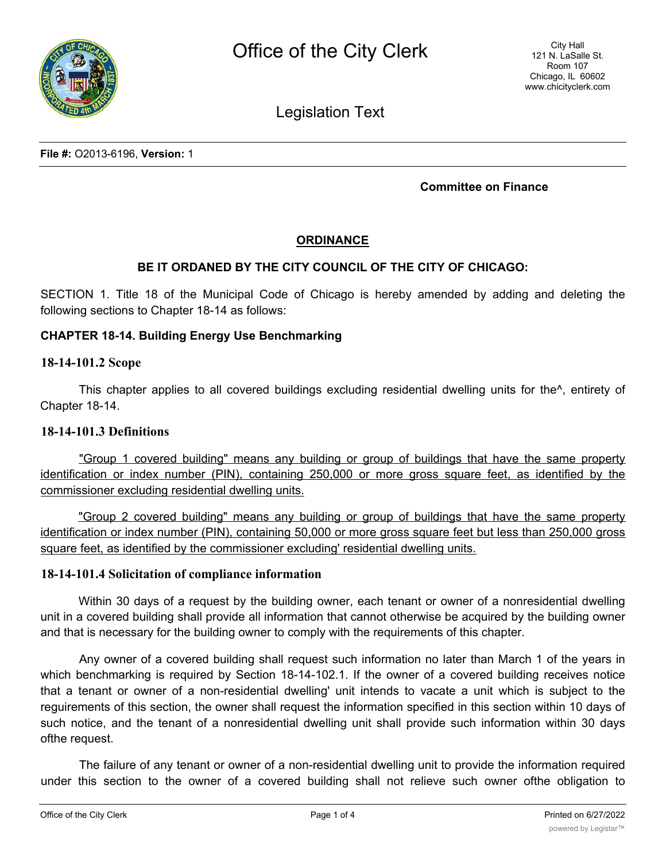

Legislation Text

**File #:** O2013-6196, **Version:** 1

### **Committee on Finance**

# **ORDINANCE**

## **BE IT ORDANED BY THE CITY COUNCIL OF THE CITY OF CHICAGO:**

SECTION 1. Title 18 of the Municipal Code of Chicago is hereby amended by adding and deleting the following sections to Chapter 18-14 as follows:

### **CHAPTER 18-14. Building Energy Use Benchmarking**

#### **18-14-101.2 Scope**

This chapter applies to all covered buildings excluding residential dwelling units for the^, entirety of Chapter 18-14.

#### **18-14-101.3 Definitions**

"Group 1 covered building" means any building or group of buildings that have the same property identification or index number (PIN), containing 250,000 or more gross square feet, as identified by the commissioner excluding residential dwelling units.

"Group 2 covered building" means any building or group of buildings that have the same property identification or index number (PIN), containing 50,000 or more gross square feet but less than 250,000 gross square feet, as identified by the commissioner excluding' residential dwelling units.

#### **18-14-101.4 Solicitation of compliance information**

Within 30 days of a request by the building owner, each tenant or owner of a nonresidential dwelling unit in a covered building shall provide all information that cannot otherwise be acquired by the building owner and that is necessary for the building owner to comply with the requirements of this chapter.

Any owner of a covered building shall request such information no later than March 1 of the years in which benchmarking is required by Section 18-14-102.1. If the owner of a covered building receives notice that a tenant or owner of a non-residential dwelling' unit intends to vacate a unit which is subject to the reguirements of this section, the owner shall request the information specified in this section within 10 days of such notice, and the tenant of a nonresidential dwelling unit shall provide such information within 30 days ofthe request.

The failure of any tenant or owner of a non-residential dwelling unit to provide the information required under this section to the owner of a covered building shall not relieve such owner ofthe obligation to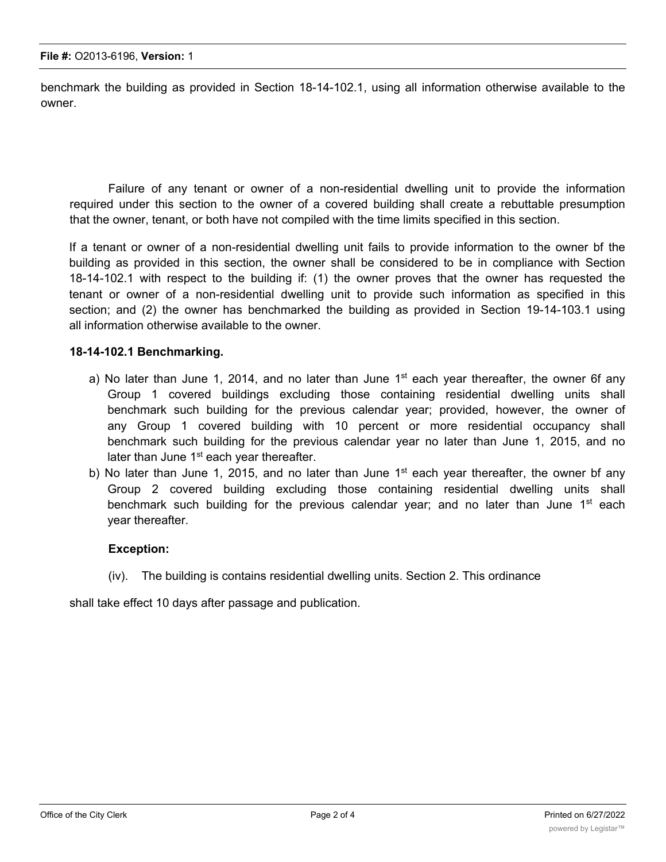benchmark the building as provided in Section 18-14-102.1, using all information otherwise available to the owner.

Failure of any tenant or owner of a non-residential dwelling unit to provide the information required under this section to the owner of a covered building shall create a rebuttable presumption that the owner, tenant, or both have not compiled with the time limits specified in this section.

If a tenant or owner of a non-residential dwelling unit fails to provide information to the owner bf the building as provided in this section, the owner shall be considered to be in compliance with Section 18-14-102.1 with respect to the building if: (1) the owner proves that the owner has requested the tenant or owner of a non-residential dwelling unit to provide such information as specified in this section; and (2) the owner has benchmarked the building as provided in Section 19-14-103.1 using all information otherwise available to the owner.

#### **18-14-102.1 Benchmarking.**

- a) No later than June 1, 2014, and no later than June  $1<sup>st</sup>$  each year thereafter, the owner 6f any Group 1 covered buildings excluding those containing residential dwelling units shall benchmark such building for the previous calendar year; provided, however, the owner of any Group 1 covered building with 10 percent or more residential occupancy shall benchmark such building for the previous calendar year no later than June 1, 2015, and no later than June  $1<sup>st</sup>$  each year thereafter.
- b) No later than June 1, 2015, and no later than June  $1<sup>st</sup>$  each year thereafter, the owner bf any Group 2 covered building excluding those containing residential dwelling units shall benchmark such building for the previous calendar year; and no later than June  $1<sup>st</sup>$  each year thereafter.

#### **Exception:**

(iv). The building is contains residential dwelling units. Section 2. This ordinance

shall take effect 10 days after passage and publication.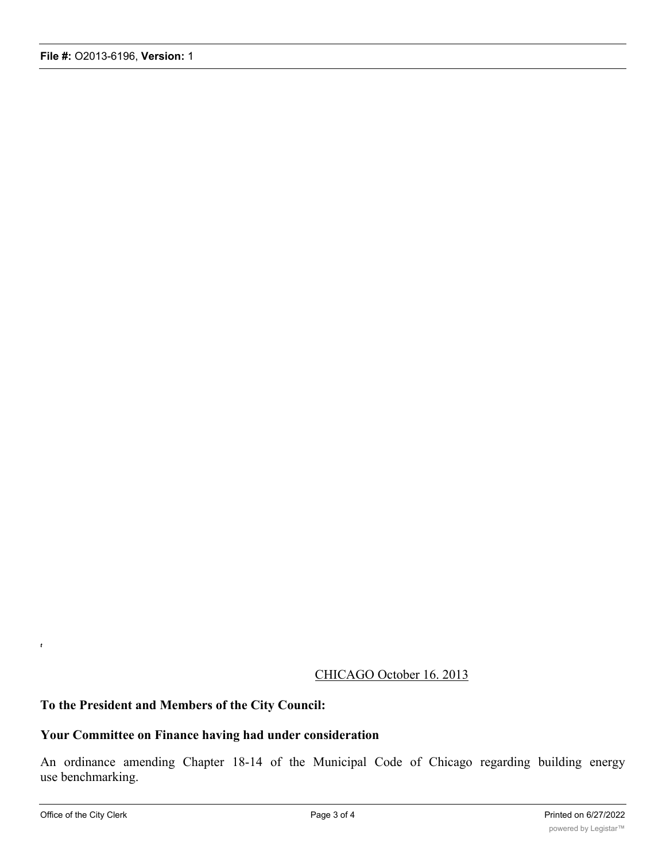# CHICAGO October 16. 2013

## **To the President and Members of the City Council:**

# **Your Committee on Finance having had under consideration**

An ordinance amending Chapter 18-14 of the Municipal Code of Chicago regarding building energy use benchmarking.

*t*